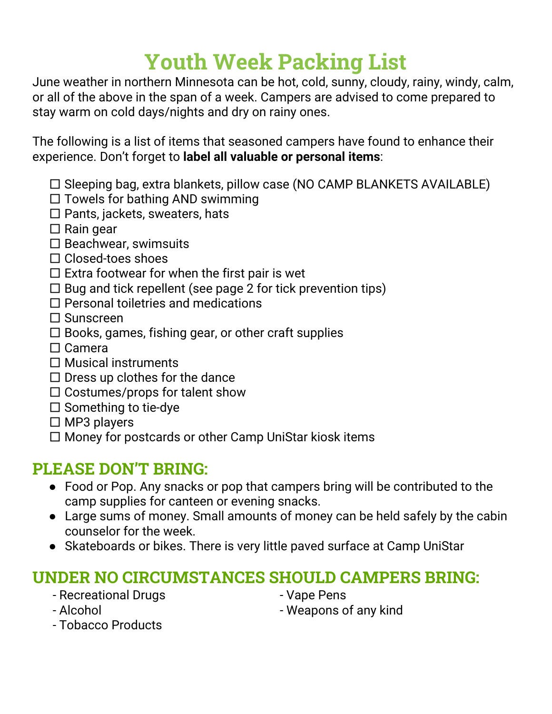## **Youth Week Packing List**

June weather in northern Minnesota can be hot, cold, sunny, cloudy, rainy, windy, calm, or all of the above in the span of a week. Campers are advised to come prepared to stay warm on cold days/nights and dry on rainy ones.

The following is a list of items that seasoned campers have found to enhance their experience. Don't forget to **label all valuable or personal items**:

- $\square$  Sleeping bag, extra blankets, pillow case (NO CAMP BLANKETS AVAILABLE)
- $\square$  Towels for bathing AND swimming
- $\square$  Pants, jackets, sweaters, hats
- $\square$  Rain gear
- $\square$  Beachwear, swimsuits
- □ Closed-toes shoes
- $\square$  Extra footwear for when the first pair is wet
- $\square$  Bug and tick repellent (see page 2 for tick prevention tips)
- $\Box$  Personal toiletries and medications
- □ Sunscreen
- $\square$  Books, games, fishing gear, or other craft supplies
- □ Camera
- □ Musical instruments
- $\square$  Dress up clothes for the dance
- $\square$  Costumes/props for talent show
- $\square$  Something to tie-dye
- $\square$  MP3 players
- $\square$  Money for postcards or other Camp UniStar kiosk items

## **PLEASE DON'T BRING:**

- Food or Pop. Any snacks or pop that campers bring will be contributed to the camp supplies for canteen or evening snacks.
- Large sums of money. Small amounts of money can be held safely by the cabin counselor for the week.
- Skateboards or bikes. There is very little paved surface at Camp UniStar

## **UNDER NO CIRCUMSTANCES SHOULD CAMPERS BRING:**

- Recreational Drugs
- Alcohol

- Vape Pens

- Weapons of any kind

- Tobacco Products